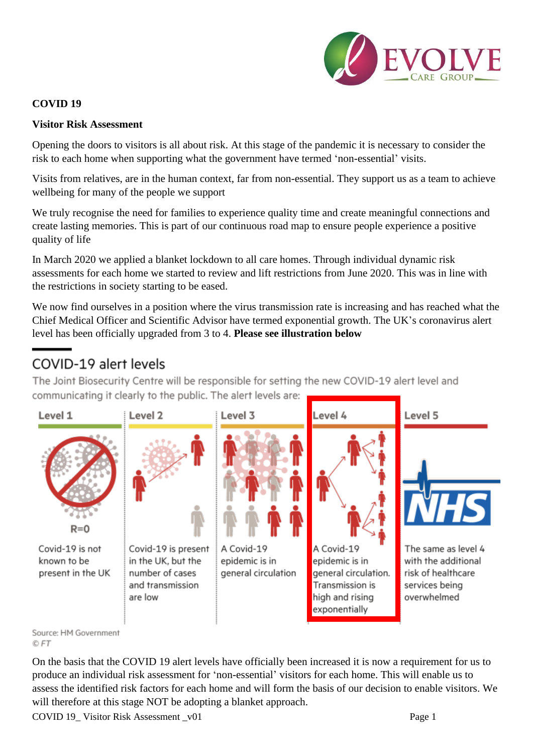

## **COVID 19**

#### **Visitor Risk Assessment**

Opening the doors to visitors is all about risk. At this stage of the pandemic it is necessary to consider the risk to each home when supporting what the government have termed 'non-essential' visits.

Visits from relatives, are in the human context, far from non-essential. They support us as a team to achieve wellbeing for many of the people we support

We truly recognise the need for families to experience quality time and create meaningful connections and create lasting memories. This is part of our continuous road map to ensure people experience a positive quality of life

In March 2020 we applied a blanket lockdown to all care homes. Through individual dynamic risk assessments for each home we started to review and lift restrictions from June 2020. This was in line with the restrictions in society starting to be eased.

We now find ourselves in a position where the virus transmission rate is increasing and has reached what the Chief Medical Officer and Scientific Advisor have termed exponential growth. The UK's coronavirus alert level has been officially upgraded from 3 to 4. **Please see illustration below**

# COVID-19 alert levels

The Joint Biosecurity Centre will be responsible for setting the new COVID-19 alert level and communicating it clearly to the public. The alert levels are:



© FT

On the basis that the COVID 19 alert levels have officially been increased it is now a requirement for us to produce an individual risk assessment for 'non-essential' visitors for each home. This will enable us to assess the identified risk factors for each home and will form the basis of our decision to enable visitors. We will therefore at this stage NOT be adopting a blanket approach.

COVID 19\_Visitor Risk Assessment \_v01 Page 1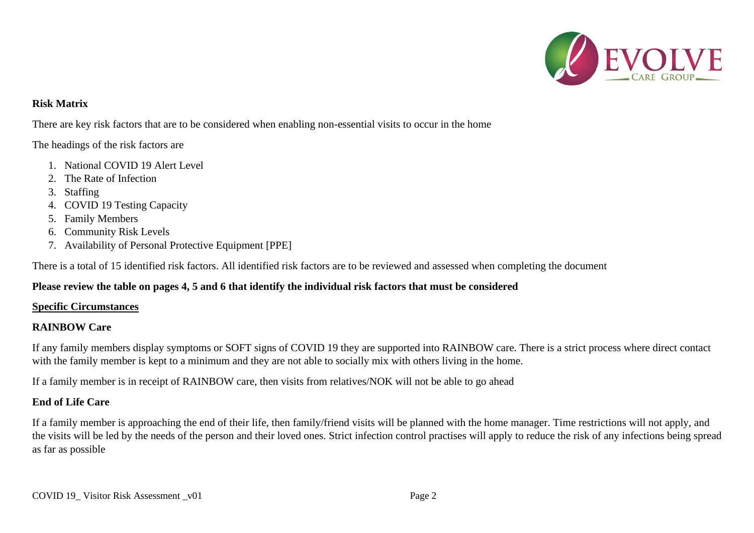

## **Risk Matrix**

There are key risk factors that are to be considered when enabling non-essential visits to occur in the home

#### The headings of the risk factors are

- 1. National COVID 19 Alert Level
- 2. The Rate of Infection
- 3. Staffing
- 4. COVID 19 Testing Capacity
- 5. Family Members
- 6. Community Risk Levels
- 7. Availability of Personal Protective Equipment [PPE]

There is a total of 15 identified risk factors. All identified risk factors are to be reviewed and assessed when completing the document

## **Please review the table on pages 4, 5 and 6 that identify the individual risk factors that must be considered**

#### **Specific Circumstances**

#### **RAINBOW Care**

If any family members display symptoms or SOFT signs of COVID 19 they are supported into RAINBOW care. There is a strict process where direct contact with the family member is kept to a minimum and they are not able to socially mix with others living in the home.

If a family member is in receipt of RAINBOW care, then visits from relatives/NOK will not be able to go ahead

#### **End of Life Care**

If a family member is approaching the end of their life, then family/friend visits will be planned with the home manager. Time restrictions will not apply, and the visits will be led by the needs of the person and their loved ones. Strict infection control practises will apply to reduce the risk of any infections being spread as far as possible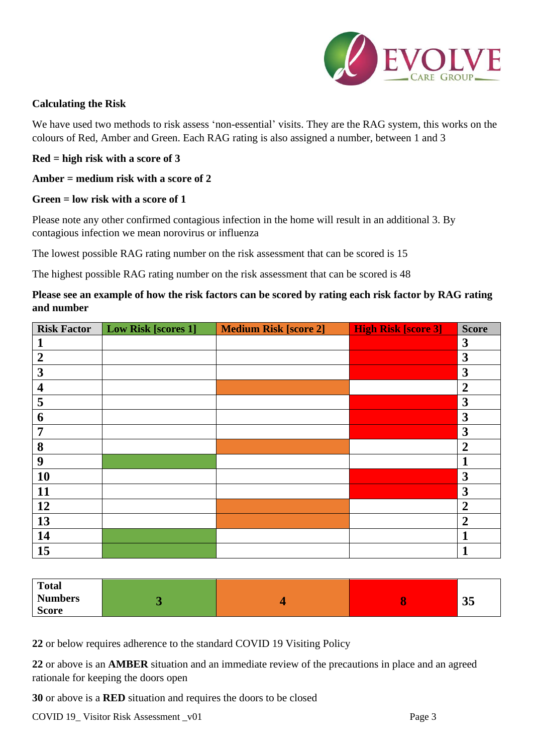

### **Calculating the Risk**

We have used two methods to risk assess 'non-essential' visits. They are the RAG system, this works on the colours of Red, Amber and Green. Each RAG rating is also assigned a number, between 1 and 3

#### **Red = high risk with a score of 3**

#### **Amber = medium risk with a score of 2**

#### **Green = low risk with a score of 1**

Please note any other confirmed contagious infection in the home will result in an additional 3. By contagious infection we mean norovirus or influenza

The lowest possible RAG rating number on the risk assessment that can be scored is 15

The highest possible RAG rating number on the risk assessment that can be scored is 48

## **Please see an example of how the risk factors can be scored by rating each risk factor by RAG rating and number**

| <b>Risk Factor</b>      | <b>Low Risk [scores 1]</b> | <b>Medium Risk [score 2]</b> | <b>High Risk [score 3]</b> | <b>Score</b>     |
|-------------------------|----------------------------|------------------------------|----------------------------|------------------|
| 1                       |                            |                              |                            | $\mathbf{3}$     |
| $\overline{2}$          |                            |                              |                            | $\mathbf{3}$     |
| 3                       |                            |                              |                            | $\mathbf{3}$     |
| $\overline{\mathbf{4}}$ |                            |                              |                            | $\boldsymbol{2}$ |
| 5                       |                            |                              |                            | $\mathbf{3}$     |
| 6                       |                            |                              |                            | $\mathbf{3}$     |
| 7                       |                            |                              |                            | $\mathbf{3}$     |
| 8                       |                            |                              |                            | $\boldsymbol{2}$ |
| 9                       |                            |                              |                            |                  |
| 10                      |                            |                              |                            | $\mathbf{3}$     |
| 11                      |                            |                              |                            | $\mathbf{3}$     |
| 12                      |                            |                              |                            | $\boldsymbol{2}$ |
| 13                      |                            |                              |                            | $\overline{2}$   |
| 14                      |                            |                              |                            |                  |
| 15                      |                            |                              |                            |                  |

| <b>Total</b>   |  |          |
|----------------|--|----------|
| <b>Numbers</b> |  | $\Omega$ |
| <b>Score</b>   |  | JJ       |

**22** or below requires adherence to the standard COVID 19 Visiting Policy

**22** or above is an **AMBER** situation and an immediate review of the precautions in place and an agreed rationale for keeping the doors open

**30** or above is a **RED** situation and requires the doors to be closed

COVID 19\_Visitor Risk Assessment \_v01 Page 3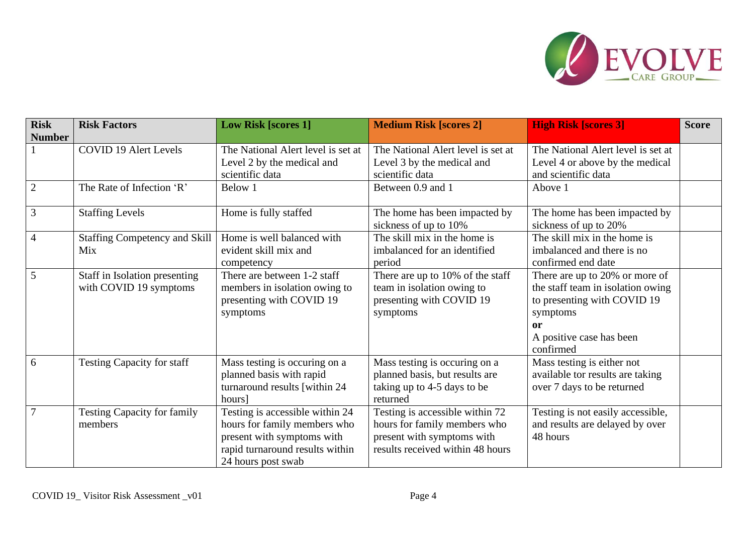

| <b>Risk</b><br><b>Number</b> | <b>Risk Factors</b>                                     | <b>Low Risk [scores 1]</b>                                                                                                                             | <b>Medium Risk [scores 2]</b>                                                                                                     | <b>High Risk [scores 3]</b>                                                                                                                                   | <b>Score</b> |
|------------------------------|---------------------------------------------------------|--------------------------------------------------------------------------------------------------------------------------------------------------------|-----------------------------------------------------------------------------------------------------------------------------------|---------------------------------------------------------------------------------------------------------------------------------------------------------------|--------------|
|                              | <b>COVID 19 Alert Levels</b>                            | The National Alert level is set at<br>Level 2 by the medical and<br>scientific data                                                                    | The National Alert level is set at<br>Level 3 by the medical and<br>scientific data                                               | The National Alert level is set at<br>Level 4 or above by the medical<br>and scientific data                                                                  |              |
| $\overline{2}$               | The Rate of Infection 'R'                               | Below 1                                                                                                                                                | Between 0.9 and 1                                                                                                                 | Above 1                                                                                                                                                       |              |
| $\overline{3}$               | <b>Staffing Levels</b>                                  | Home is fully staffed                                                                                                                                  | The home has been impacted by<br>sickness of up to 10%                                                                            | The home has been impacted by<br>sickness of up to 20%                                                                                                        |              |
| $\overline{4}$               | <b>Staffing Competency and Skill</b><br>Mix             | Home is well balanced with<br>evident skill mix and<br>competency                                                                                      | The skill mix in the home is<br>imbalanced for an identified<br>period                                                            | The skill mix in the home is<br>imbalanced and there is no<br>confirmed end date                                                                              |              |
| 5                            | Staff in Isolation presenting<br>with COVID 19 symptoms | There are between 1-2 staff<br>members in isolation owing to<br>presenting with COVID 19<br>symptoms                                                   | There are up to 10% of the staff<br>team in isolation owing to<br>presenting with COVID 19<br>symptoms                            | There are up to 20% or more of<br>the staff team in isolation owing<br>to presenting with COVID 19<br>symptoms<br>or<br>A positive case has been<br>confirmed |              |
| 6                            | <b>Testing Capacity for staff</b>                       | Mass testing is occuring on a<br>planned basis with rapid<br>turnaround results [within 24<br>hours                                                    | Mass testing is occuring on a<br>planned basis, but results are<br>taking up to 4-5 days to be<br>returned                        | Mass testing is either not<br>available tor results are taking<br>over 7 days to be returned                                                                  |              |
| $\overline{7}$               | <b>Testing Capacity for family</b><br>members           | Testing is accessible within 24<br>hours for family members who<br>present with symptoms with<br>rapid turnaround results within<br>24 hours post swab | Testing is accessible within 72<br>hours for family members who<br>present with symptoms with<br>results received within 48 hours | Testing is not easily accessible,<br>and results are delayed by over<br>48 hours                                                                              |              |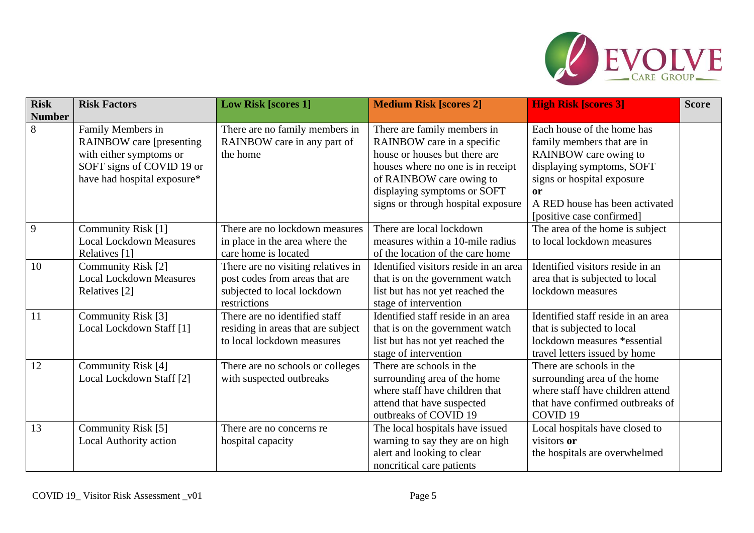

| <b>Risk</b>   | <b>Risk Factors</b>                                                                                                                          | <b>Low Risk [scores 1]</b>                                                                                          | <b>Medium Risk [scores 2]</b>                                                                                                                                                                                                    | <b>High Risk [scores 3]</b>                                                                                                                                                                                       | <b>Score</b> |
|---------------|----------------------------------------------------------------------------------------------------------------------------------------------|---------------------------------------------------------------------------------------------------------------------|----------------------------------------------------------------------------------------------------------------------------------------------------------------------------------------------------------------------------------|-------------------------------------------------------------------------------------------------------------------------------------------------------------------------------------------------------------------|--------------|
| <b>Number</b> |                                                                                                                                              |                                                                                                                     |                                                                                                                                                                                                                                  |                                                                                                                                                                                                                   |              |
| 8             | Family Members in<br><b>RAINBOW</b> care [presenting]<br>with either symptoms or<br>SOFT signs of COVID 19 or<br>have had hospital exposure* | There are no family members in<br>RAINBOW care in any part of<br>the home                                           | There are family members in<br>RAINBOW care in a specific<br>house or houses but there are<br>houses where no one is in receipt<br>of RAINBOW care owing to<br>displaying symptoms or SOFT<br>signs or through hospital exposure | Each house of the home has<br>family members that are in<br>RAINBOW care owing to<br>displaying symptoms, SOFT<br>signs or hospital exposure<br>or<br>A RED house has been activated<br>[positive case confirmed] |              |
| 9             | Community Risk [1]<br><b>Local Lockdown Measures</b><br>Relatives [1]                                                                        | There are no lockdown measures<br>in place in the area where the<br>care home is located                            | There are local lockdown<br>measures within a 10-mile radius<br>of the location of the care home                                                                                                                                 | The area of the home is subject<br>to local lockdown measures                                                                                                                                                     |              |
| 10            | Community Risk [2]<br><b>Local Lockdown Measures</b><br>Relatives [2]                                                                        | There are no visiting relatives in<br>post codes from areas that are<br>subjected to local lockdown<br>restrictions | Identified visitors reside in an area<br>that is on the government watch<br>list but has not yet reached the<br>stage of intervention                                                                                            | Identified visitors reside in an<br>area that is subjected to local<br>lockdown measures                                                                                                                          |              |
| 11            | Community Risk [3]<br>Local Lockdown Staff [1]                                                                                               | There are no identified staff<br>residing in areas that are subject<br>to local lockdown measures                   | Identified staff reside in an area<br>that is on the government watch<br>list but has not yet reached the<br>stage of intervention                                                                                               | Identified staff reside in an area<br>that is subjected to local<br>lockdown measures *essential<br>travel letters issued by home                                                                                 |              |
| 12            | Community Risk [4]<br>Local Lockdown Staff [2]                                                                                               | There are no schools or colleges<br>with suspected outbreaks                                                        | There are schools in the<br>surrounding area of the home<br>where staff have children that<br>attend that have suspected<br>outbreaks of COVID 19                                                                                | There are schools in the<br>surrounding area of the home<br>where staff have children attend<br>that have confirmed outbreaks of<br>COVID <sub>19</sub>                                                           |              |
| 13            | Community Risk [5]<br><b>Local Authority action</b>                                                                                          | There are no concerns re<br>hospital capacity                                                                       | The local hospitals have issued<br>warning to say they are on high<br>alert and looking to clear<br>noncritical care patients                                                                                                    | Local hospitals have closed to<br>visitors or<br>the hospitals are overwhelmed                                                                                                                                    |              |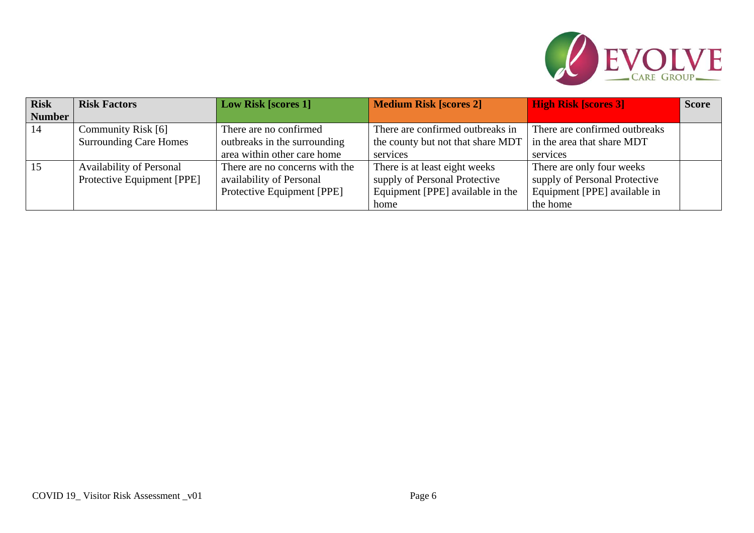

| <b>Risk</b>   | <b>Risk Factors</b>             | <b>Low Risk [scores 1]</b>     | <b>Medium Risk [scores 2]</b>     | <b>High Risk [scores 3]</b>   | <b>Score</b> |
|---------------|---------------------------------|--------------------------------|-----------------------------------|-------------------------------|--------------|
| <b>Number</b> |                                 |                                |                                   |                               |              |
| 14            | Community Risk [6]              | There are no confirmed         | There are confirmed outbreaks in  | There are confirmed outbreaks |              |
|               | <b>Surrounding Care Homes</b>   | outbreaks in the surrounding   | the county but not that share MDT | in the area that share MDT    |              |
|               |                                 | area within other care home    | services                          | services                      |              |
| 15            | <b>Availability of Personal</b> | There are no concerns with the | There is at least eight weeks     | There are only four weeks     |              |
|               | Protective Equipment [PPE]      | availability of Personal       | supply of Personal Protective     | supply of Personal Protective |              |
|               |                                 | Protective Equipment [PPE]     | Equipment [PPE] available in the  | Equipment [PPE] available in  |              |
|               |                                 |                                | home                              | the home                      |              |